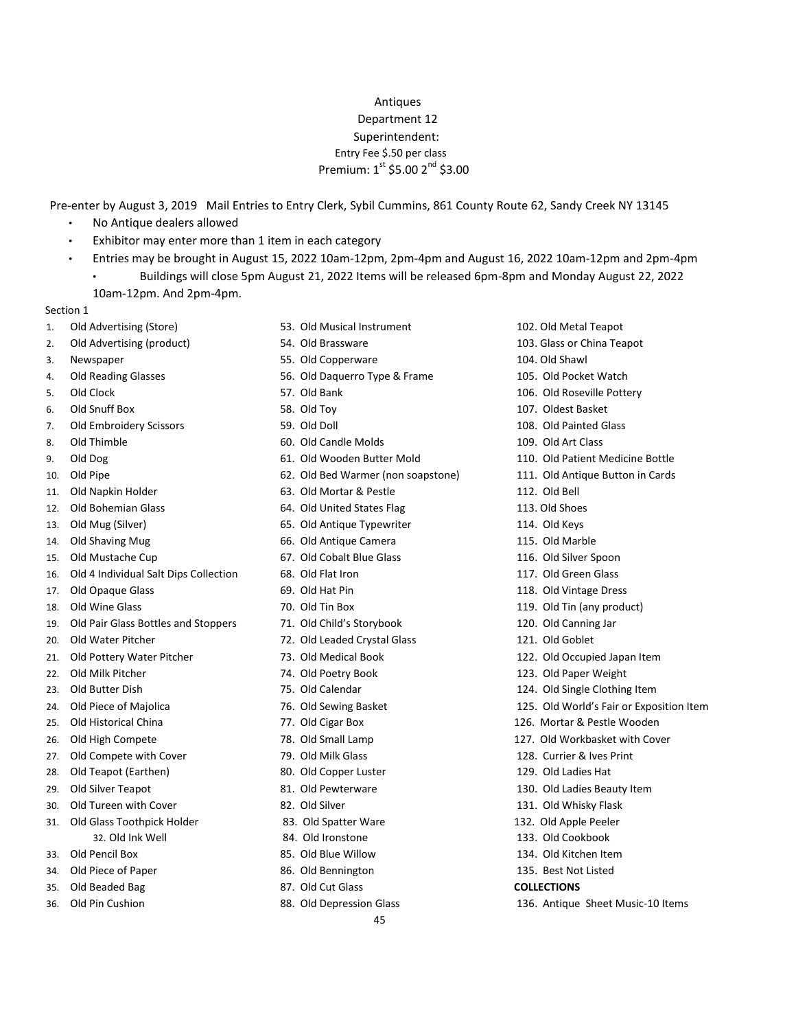## Antiques Department 12 Superintendent: Entry Fee \$.50 per class Premium:  $1^{st}$  \$5.00  $2^{nd}$  \$3.00

Pre-enter by August 3, 2019 Mail Entries to Entry Clerk, Sybil Cummins, 861 County Route 62, Sandy Creek NY 13145

- No Antique dealers allowed
- Exhibitor may enter more than 1 item in each category
- Entries may be brought in August 15, 2022 10am-12pm, 2pm-4pm and August 16, 2022 10am-12pm and 2pm-4pm • Buildings will close 5pm August 21, 2022 Items will be released 6pm-8pm and Monday August 22, 2022 10am-12pm. And 2pm-4pm.

## Section 1

- 
- 2. Old Advertising (product) 54. Old Brassware 103. Glass or China Teapot
- 
- 
- 
- 
- 7. Old Embroidery Scissors 59. Old Doll 108. Old Painted Glass
- 
- 
- 
- 
- 
- 
- 
- 
- 16. Old 4 Individual Salt Dips Collection 68. Old Flat Iron 117. Old Green Glass
- 17. Old Opaque Glass 118. Out Hat Pin 118. Old Vintage Dress
- 
- 19. Old Pair Glass Bottles and Stoppers 71. Old Child's Storybook 120. Old Canning Jar
- 
- 
- 22. Old Milk Pitcher 74. Old Poetry Book 123. Old Paper Weight
- 23. Old Butter Dish 124. Old Calendar 124. Old Single Clothing Item
- 24. Old Piece of Majolica **76.** Old Sewing Basket 125. Old World's Fair or Exposition Item
- 25. Old Historical China 77. Old Cigar Box 126. Mortar & Pestle Wooden
- 26. Old High Compete 78. Old Small Lamp 127. Old Workbasket with Cover
- 27. Old Compete with Cover 129. Currier & Ives Print 128. Currier & Ives Print
- 28. Old Teapot (Earthen) 28. Old Copper Luster 129. Old Ladies Hat
- 29. Old Silver Teapot 120 and 2012 130. Old Dewterware 130. Old Ladies Beauty Item
- 30. Old Tureen with Cover 131. Old Silver 131. Old Whisky Flask
- 31. Old Glass Toothpick Holder 83. Old Spatter Ware 132. Old Apple Peeler
	- -
- 34. Old Piece of Paper 86. Old Bennington 135. Best Not Listed
- 
- 
- 1. Old Advertising (Store) 53. Old Musical Instrument 102. Old Metal Teapot
	-
- 3. Newspaper 55. Old Copperware 104. Old Shawl
- 4. Old Reading Glasses 56. Old Daquerro Type & Frame 105. Old Pocket Watch
	-
	-
	-
- 8. Old Thimble 109. Old Candle Molds 109. Old Art Class
	-
	-
- 11. Old Napkin Holder 63. Old Mortar & Pestle 112. Old Bell
- 12. Old Bohemian Glass 64. Old United States Flag 113. Old Shoes
- 13. Old Mug (Silver) 65. Old Antique Typewriter 114. Old Keys
- 14. Old Shaving Mug 66. Old Antique Camera 115. Old Marble
- 15. Old Mustache Cup 67. Old Cobalt Blue Glass 116. Old Silver Spoon
	-
	-
	-
	-
- 20. Old Water Pitcher 72. Old Leaded Crystal Glass 121. Old Goblet
	-
	-
	-
	-
	-
	-
	-
	-
	-
	-
	-
	- 32. Old Ink Well 84. Old Ironstone 133. Old Cookbook
- 33. Old Pencil Box 85. Old Blue Willow 134. Old Kitchen Item
	-
- 35. Old Beaded Bag 87. Old Cut Glass **COLLECTIONS**
- 36. Old Pin Cushion 88. Old Depression Glass 136. Antique Sheet Music-10 Items
- 
- 
- 
- 
- 5. Old Clock 57. Old Bank 106. Old Roseville Pottery
- 6. Old Snuff Box 58. Old Toy 107. Oldest Basket
	-
	-
- 9. Old Dog 61. Old Wooden Butter Mold 110. Old Patient Medicine Bottle
- 10. Old Pipe 62. Old Bed Warmer (non soapstone) 111. Old Antique Button in Cards
	-
	-
	-
	-
	-
	-
	-
- 18. Old Wine Glass 70. Old Tin Box 119. Old Tin (any product)
	-
	-
- 21. Old Pottery Water Pitcher 73. Old Medical Book 122. Old Occupied Japan Item